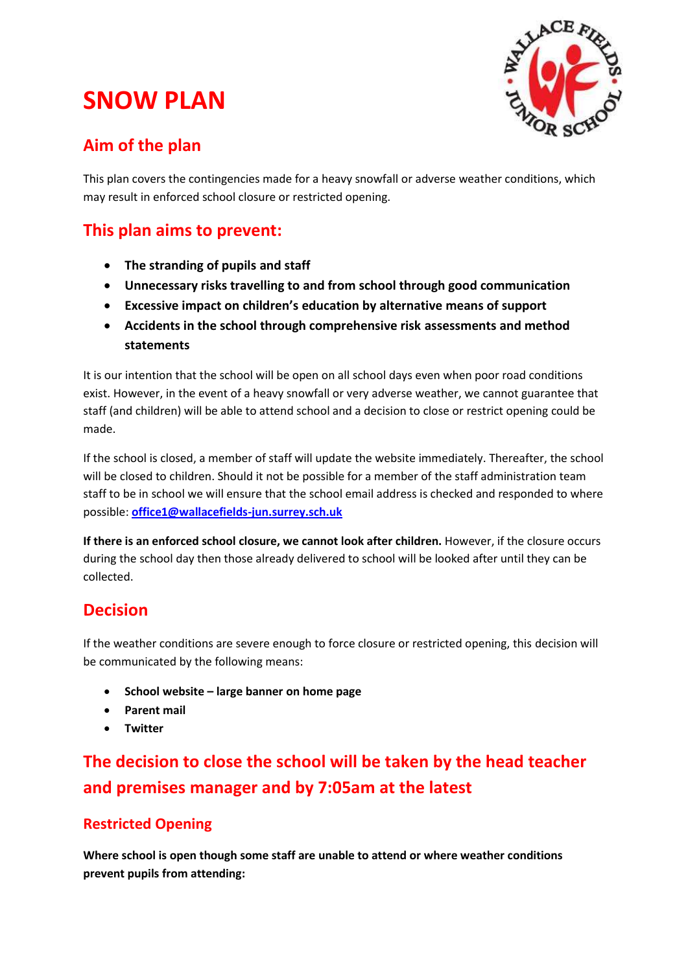# **SNOW PLAN**



### **Aim of the plan**

This plan covers the contingencies made for a heavy snowfall or adverse weather conditions, which may result in enforced school closure or restricted opening.

### **This plan aims to prevent:**

- **The stranding of pupils and staff**
- **Unnecessary risks travelling to and from school through good communication**
- **Excessive impact on children's education by alternative means of support**
- **Accidents in the school through comprehensive risk assessments and method statements**

It is our intention that the school will be open on all school days even when poor road conditions exist. However, in the event of a heavy snowfall or very adverse weather, we cannot guarantee that staff (and children) will be able to attend school and a decision to close or restrict opening could be made.

If the school is closed, a member of staff will update the website immediately. Thereafter, the school will be closed to children. Should it not be possible for a member of the staff administration team staff to be in school we will ensure that the school email address is checked and responded to where possible: **[office1@wallacefields-jun.surrey.sch.uk](mailto:office1@wallacefields-jun.surrey.sch.uk)**

**If there is an enforced school closure, we cannot look after children.** However, if the closure occurs during the school day then those already delivered to school will be looked after until they can be collected.

### **Decision**

If the weather conditions are severe enough to force closure or restricted opening, this decision will be communicated by the following means:

- **School website – large banner on home page**
- **Parent mail**
- **Twitter**

## **The decision to close the school will be taken by the head teacher and premises manager and by 7:05am at the latest**

#### **Restricted Opening**

**Where school is open though some staff are unable to attend or where weather conditions prevent pupils from attending:**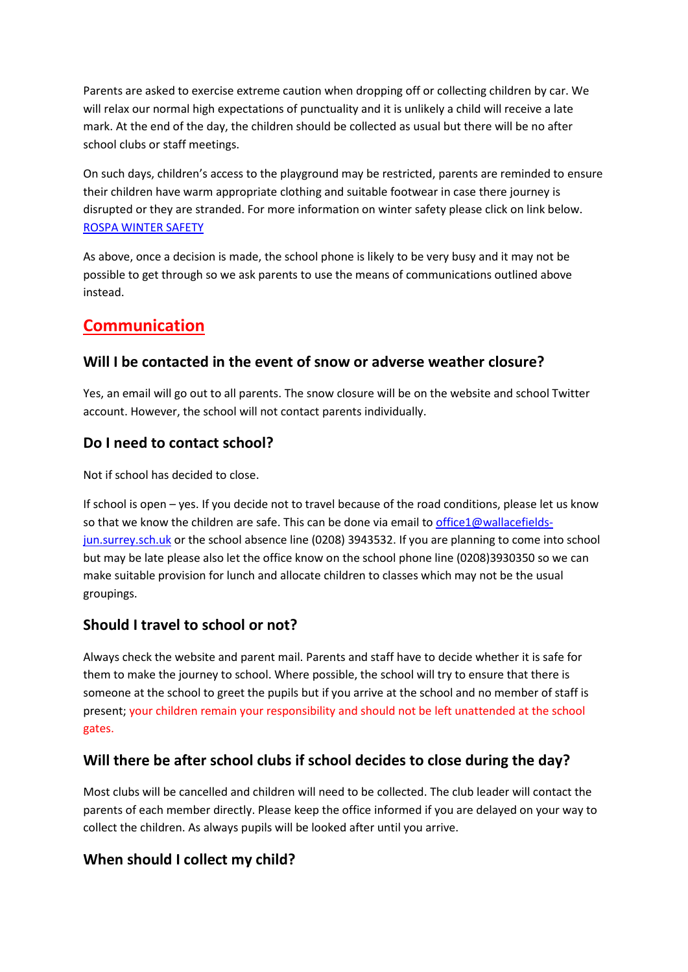Parents are asked to exercise extreme caution when dropping off or collecting children by car. We will relax our normal high expectations of punctuality and it is unlikely a child will receive a late mark. At the end of the day, the children should be collected as usual but there will be no after school clubs or staff meetings.

On such days, children's access to the playground may be restricted, parents are reminded to ensure their children have warm appropriate clothing and suitable footwear in case there journey is disrupted or they are stranded. For more information on winter safety please click on link below. [ROSPA WINTER SAFETY](http://www.rospa.com/rospaweb/docs/advice-services/road-safety/drivers/winter-driving-tips.pdf)

As above, once a decision is made, the school phone is likely to be very busy and it may not be possible to get through so we ask parents to use the means of communications outlined above instead.

### **Communication**

#### **Will I be contacted in the event of snow or adverse weather closure?**

Yes, an email will go out to all parents. The snow closure will be on the website and school Twitter account. However, the school will not contact parents individually.

#### **Do I need to contact school?**

Not if school has decided to close.

If school is open – yes. If you decide not to travel because of the road conditions, please let us know so that we know the children are safe. This can be done via email to [office1@wallacefields](mailto:office1@wallacefields-jun.surrey.sch.uk)[jun.surrey.sch.uk](mailto:office1@wallacefields-jun.surrey.sch.uk) or the school absence line (0208) 3943532. If you are planning to come into school but may be late please also let the office know on the school phone line (0208)3930350 so we can make suitable provision for lunch and allocate children to classes which may not be the usual groupings.

#### **Should I travel to school or not?**

Always check the website and parent mail. Parents and staff have to decide whether it is safe for them to make the journey to school. Where possible, the school will try to ensure that there is someone at the school to greet the pupils but if you arrive at the school and no member of staff is present; your children remain your responsibility and should not be left unattended at the school gates.

#### **Will there be after school clubs if school decides to close during the day?**

Most clubs will be cancelled and children will need to be collected. The club leader will contact the parents of each member directly. Please keep the office informed if you are delayed on your way to collect the children. As always pupils will be looked after until you arrive.

#### **When should I collect my child?**